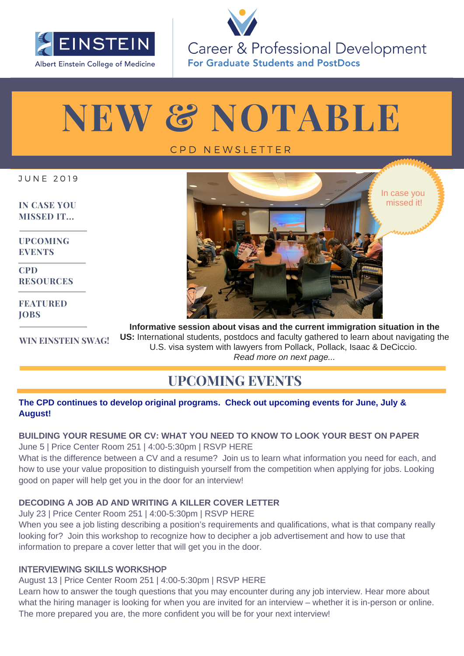

Career & Professional Development **For Graduate Students and PostDocs** 

# **NEW & NOTABLE**

### C P D N E W S L E T T E R

J U N E 2 0 1 9

**[IN CASE YOU](#page-1-0) MISSED IT...**

**UPCOMING EVENTS**

**CPD [RESOURCES](#page-1-0)** 

**[FEATURED](#page-1-0) JOBS**

In case you missed it!

**[WIN EINSTEIN SWAG!](#page-2-0) Informative session about visas and the current immigration situation in the US:** International students, postdocs and faculty gathered to learn about navigating the U.S. visa system with lawyers from Pollack, Pollack, Isaac & DeCiccio. *Read more on next page...*

## **UPCOMING EVENTS**

#### **The CPD continues to develop original programs. Check out upcoming events for June, July & August!**

#### **BUILDING YOUR RESUME OR CV: WHAT YOU NEED TO KNOW TO LOOK YOUR BEST ON PAPER** June 5 | Price Center Room 251 | 4:00-5:30pm | [RSVP HERE](https://www.eventbrite.com/e/resumecv-workshop-tickets-62147725520)

What is the difference between a CV and a resume? Join us to learn what information you need for each, and how to use your value proposition to distinguish yourself from the competition when applying for jobs. Looking good on paper will help get you in the door for an interview!

#### **DECODING A JOB AD AND WRITING A KILLER COVER LETTER**

July 23 | Price Center Room 251 | 4:00-5:30pm | [RSVP HERE](https://www.eventbrite.com/e/decoding-a-job-ad-and-writing-a-killer-cover-letter-tickets-62528957796) When you see a job listing describing a position's requirements and qualifications, what is that company really looking for? Join this workshop to recognize how to decipher a job advertisement and how to use that information to prepare a cover letter that will get you in the door.

#### INTERVIEWING SKILLS WORKSHOP

August 13 | Price Center Room 251 | 4:00-5:30pm | [RSVP HERE](https://www.eventbrite.com/e/interview-skills-workshop-tickets-62856078222) 

Learn how to answer the tough questions that you may encounter during any job interview. Hear more about what the hiring manager is looking for when you are invited for an interview – whether it is in-person or online. The more prepared you are, the more confident you will be for your next interview!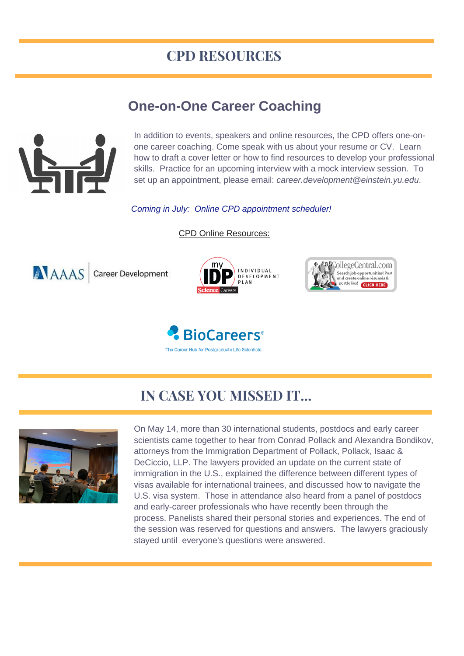## **CPD RESOURCES**

## **[One-on-One](https://www.eventbrite.com/e/driving-your-career-learn-to-communicate-with-understanding-tickets-51717671949) Career Coaching**

<span id="page-1-0"></span>

In addition to events, speakers and online resources, the CPD offers one-onone career coaching. Come speak with us about your resume or CV. Learn how to draft a cover letter or how to find resources to develop your professional skills. Practice for an upcoming interview with a mock interview session. To set up an appointment, please email: *career.development@einstein.yu.edu*.

*Coming in July: Online CPD appointment scheduler!*

CPD Online Resources:









## **IN CASE YOU MISSED IT...**



On May 14, more than 30 international students, postdocs and early career scientists came together to hear from Conrad Pollack and Alexandra Bondikov, attorneys from the Immigration Department of Pollack, Pollack, Isaac & DeCiccio, LLP. The lawyers provided an update on the current state of immigration in the U.S., explained the difference between different types of visas available for international trainees, and discussed how to navigate the U.S. visa system. Those in attendance also heard from a panel of postdocs and early-career professionals who have recently been through the process. Panelists shared their personal stories and experiences. The end of the session was reserved for questions and answers. The lawyers graciously stayed until everyone's questions were answered.